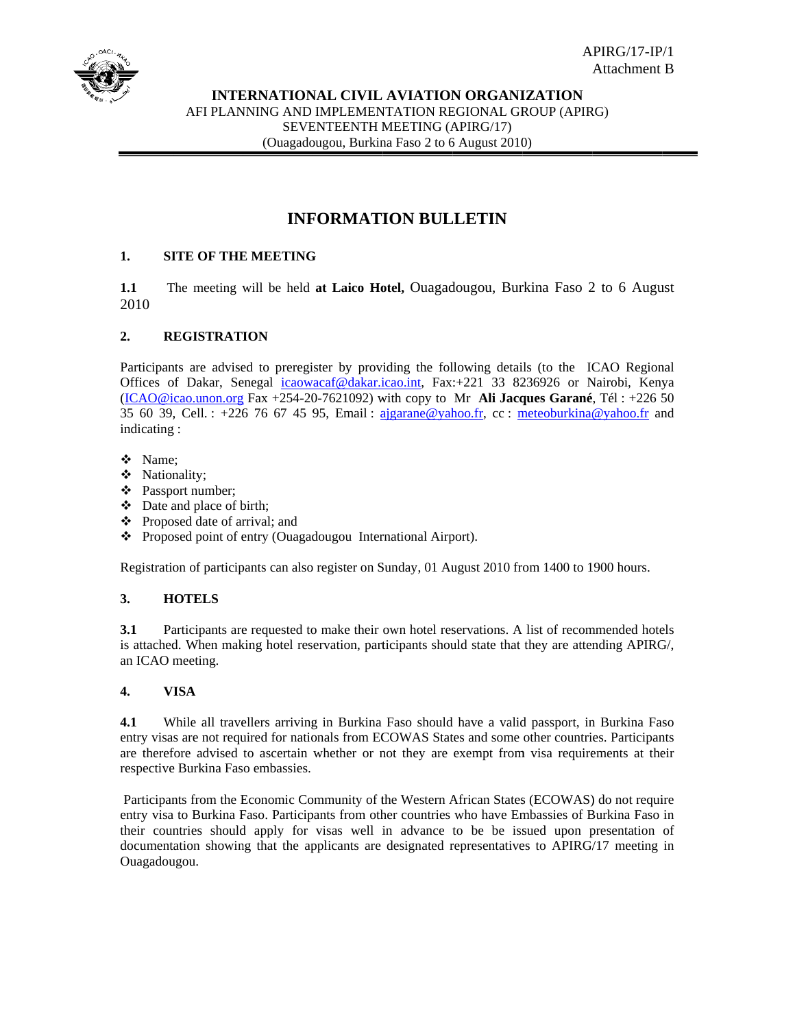

# **INFORMATION BULLETIN**

#### $1.$ **SITE OF THE MEETING**

 $1.1$ The meeting will be held at Laico Hotel, Quagadougou, Burkina Faso 2 to 6 August 2010

#### $2.$ **REGISTRATION**

Participants are advised to preregister by providing the following details (to the ICAO Regional Offices of Dakar, Senegal icaowacaf@dakar.icao.int, Fax:+221 33 8236926 or Nairobi, Kenya  $(ICAO@icao.$ unon.org Fax +254-20-7621092) with copy to Mr Ali Jacques Garané, Tél: +226 50 35 60 39, Cell.: +226 76 67 45 95, Email: ajgarane@yahoo.fr, cc: meteoburkina@yahoo.fr and indicating:

- ❖ Name:
- ❖ Nationality;
- ❖ Passport number;
- $\div$  Date and place of birth;
- ❖ Proposed date of arrival; and
- ❖ Proposed point of entry (Ouagadougou International Airport).

Registration of participants can also register on Sunday, 01 August 2010 from 1400 to 1900 hours.

#### $3.$ **HOTELS**

 $3.1$ Participants are requested to make their own hotel reservations. A list of recommended hotels is attached. When making hotel reservation, participants should state that they are attending APIRG/, an ICAO meeting.

#### $\overline{4}$ . **VISA**

While all travellers arriving in Burkina Faso should have a valid passport, in Burkina Faso  $4.1$ entry visas are not required for nationals from ECOWAS States and some other countries. Participants are therefore advised to ascertain whether or not they are exempt from visa requirements at their respective Burkina Faso embassies.

Participants from the Economic Community of the Western African States (ECOWAS) do not require entry visa to Burkina Faso. Participants from other countries who have Embassies of Burkina Faso in their countries should apply for visas well in advance to be be issued upon presentation of documentation showing that the applicants are designated representatives to APIRG/17 meeting in Ouagadougou.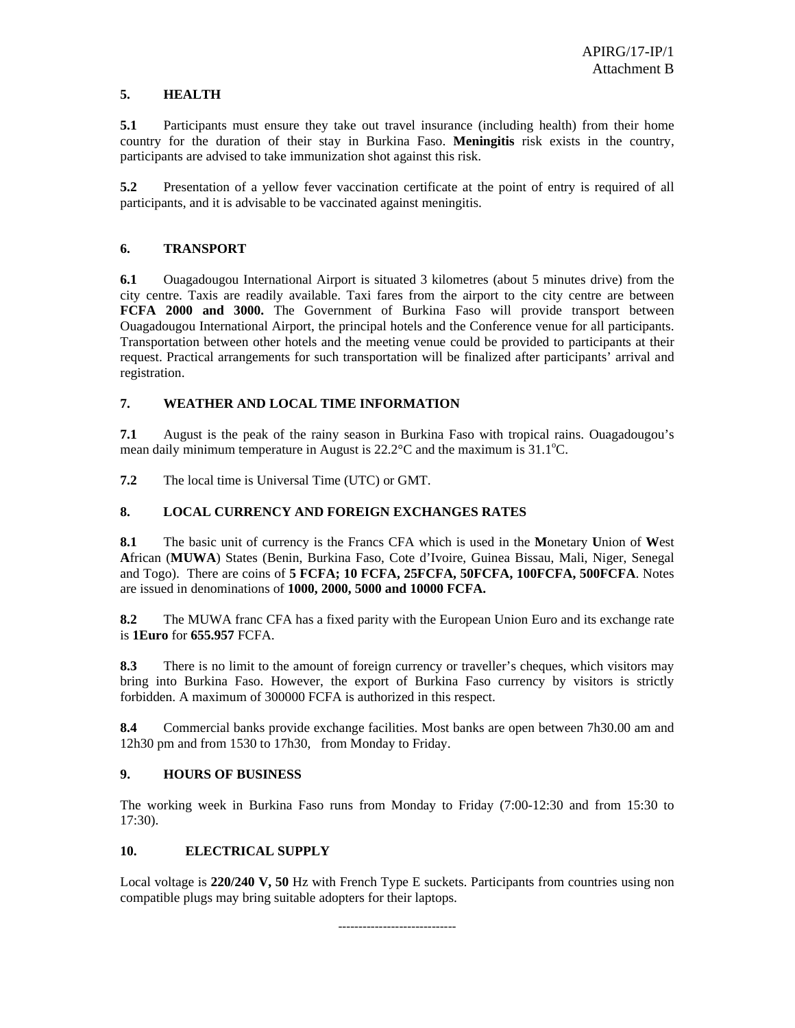### **5. HEALTH**

**5.1** Participants must ensure they take out travel insurance (including health) from their home country for the duration of their stay in Burkina Faso. **Meningitis** risk exists in the country, participants are advised to take immunization shot against this risk.

**5.2** Presentation of a yellow fever vaccination certificate at the point of entry is required of all participants, and it is advisable to be vaccinated against meningitis.

### **6. TRANSPORT**

**6.1** Ouagadougou International Airport is situated 3 kilometres (about 5 minutes drive) from the city centre. Taxis are readily available. Taxi fares from the airport to the city centre are between **FCFA 2000 and 3000.** The Government of Burkina Faso will provide transport between Ouagadougou International Airport, the principal hotels and the Conference venue for all participants. Transportation between other hotels and the meeting venue could be provided to participants at their request. Practical arrangements for such transportation will be finalized after participants' arrival and registration.

### **7. WEATHER AND LOCAL TIME INFORMATION**

**7.1** August is the peak of the rainy season in Burkina Faso with tropical rains. Ouagadougou's mean daily minimum temperature in August is  $22.2^{\circ}$ C and the maximum is  $31.1^{\circ}$ C.

**7.2** The local time is Universal Time (UTC) or GMT.

### **8. LOCAL CURRENCY AND FOREIGN EXCHANGES RATES**

**8.1** The basic unit of currency is the Francs CFA which is used in the **M**onetary **U**nion of **W**est **A**frican (**MUWA**) States (Benin, Burkina Faso, Cote d'Ivoire, Guinea Bissau, Mali, Niger, Senegal and Togo). There are coins of **5 FCFA; 10 FCFA, 25FCFA, 50FCFA, 100FCFA, 500FCFA**. Notes are issued in denominations of **1000, 2000, 5000 and 10000 FCFA.**

**8.2** The MUWA franc CFA has a fixed parity with the European Union Euro and its exchange rate is **1Euro** for **655.957** FCFA.

**8.3** There is no limit to the amount of foreign currency or traveller's cheques, which visitors may bring into Burkina Faso. However, the export of Burkina Faso currency by visitors is strictly forbidden. A maximum of 300000 FCFA is authorized in this respect.

**8.4** Commercial banks provide exchange facilities. Most banks are open between 7h30.00 am and 12h30 pm and from 1530 to 17h30, from Monday to Friday.

### **9. HOURS OF BUSINESS**

The working week in Burkina Faso runs from Monday to Friday (7:00-12:30 and from 15:30 to 17:30).

### **10. ELECTRICAL SUPPLY**

Local voltage is **220/240 V, 50** Hz with French Type E suckets. Participants from countries using non compatible plugs may bring suitable adopters for their laptops.

-----------------------------